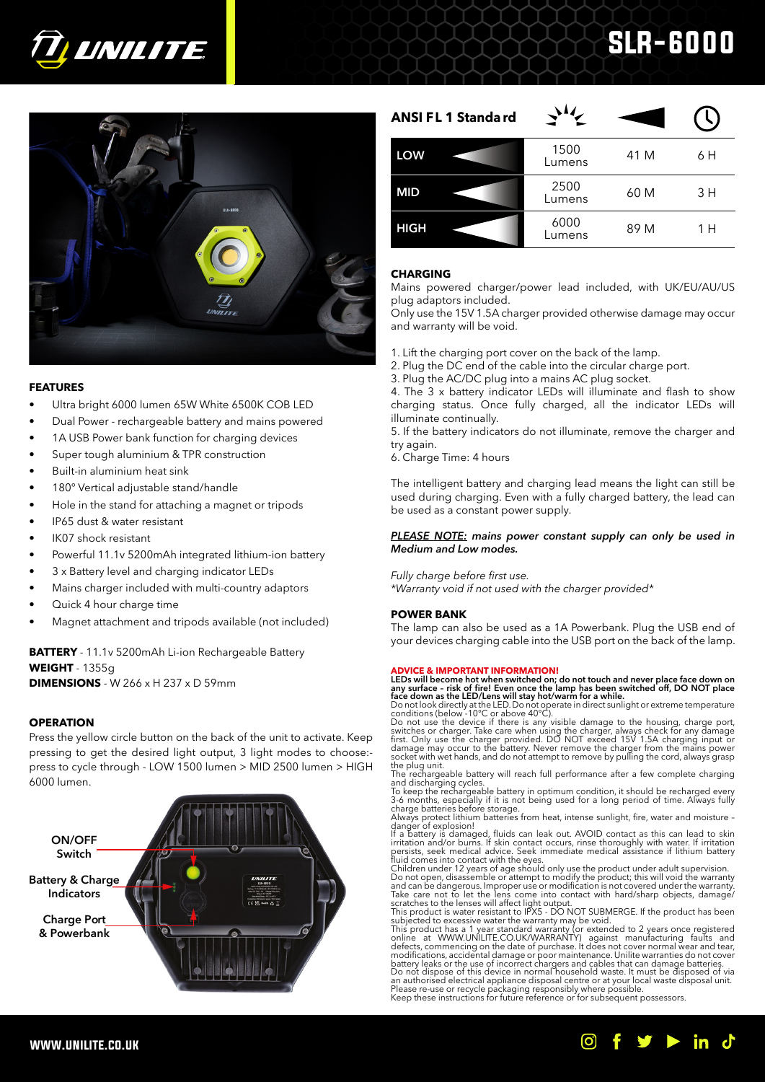

# SLR-6000



# **FEATURES**

- Ultra bright 6000 lumen 65W White 6500K COB LED
- Dual Power rechargeable battery and mains powered
- 1A USB Power bank function for charging devices
- Super tough aluminium & TPR construction
- Built-in aluminium heat sink
- 180° Vertical adjustable stand/handle
- Hole in the stand for attaching a magnet or tripods
- IP65 dust & water resistant
- IK07 shock resistant
- Powerful 11.1v 5200mAh integrated lithium-ion battery
- 3 x Battery level and charging indicator LEDs
- Mains charger included with multi-country adaptors
- Quick 4 hour charge time
- Magnet attachment and tripods available (not included)

**BATTERY** - 11.1v 5200mAh Li-ion Rechargeable Battery **WEIGHT** - 1355g **DIMENSIONS** - W 266 x H 237 x D 59mm

# **OPERATION**

Press the yellow circle button on the back of the unit to activate. Keep pressing to get the desired light output, 3 light modes to choose: press to cycle through - LOW 1500 lumen > MID 2500 lumen > HIGH 6000 lumen.



| <b>ANSI FL 1 Standard</b> |                |      |     |
|---------------------------|----------------|------|-----|
| <b>LOW</b>                | 1500<br>Lumens | 41 M | 6 H |
| <b>MID</b>                | 2500<br>Lumens | 60 M | 3 H |
| <b>HIGH</b>               | 6000<br>Lumens | 89 M | 1 H |

# **CHARGING**

Mains powered charger/power lead included, with UK/EU/AU/US plug adaptors included.

Only use the 15V 1.5A charger provided otherwise damage may occur and warranty will be void.

- 1. Lift the charging port cover on the back of the lamp.
- 2. Plug the DC end of the cable into the circular charge port.
- 3. Plug the AC/DC plug into a mains AC plug socket.

4. The 3 x battery indicator LEDs will illuminate and flash to show charging status. Once fully charged, all the indicator LEDs will illuminate continually.

5. If the battery indicators do not illuminate, remove the charger and try again.

6. Charge Time: 4 hours

The intelligent battery and charging lead means the light can still be used during charging. Even with a fully charged battery, the lead can be used as a constant power supply.

## *PLEASE NOTE: mains power constant supply can only be used in Medium and Low modes.*

## *Fully charge before first use.*

*\*Warranty void if not used with the charger provided\**

# **POWER BANK**

The lamp can also be used as a 1A Powerbank. Plug the USB end of your devices charging cable into the USB port on the back of the lamp.

**ADVICE & IMPORTANT INFORMATION!**<br>**LEDS will become hot when switched on; do not touch and never place face down on any surface - risk of fire! Even once the lamp has been switched off, DO NOT place<br>face down as the LED/Le** 

the plug unit.<br>The rechargeable battery will reach full performance after a few complete charging<br>and discharging cycles.<br>To keep the rechargeable battery in optimum condition, it should be recharged every<br>3-6 months, espe

Always protect lithium batteries from heat, intense sunlight, fire, water and moisture -<br>danger of explosion!<br>If a battery is damaged, fluids can leak out. AVOID contact as this can lead to skin<br>irritation and/or burns. If

subjected to excessive water the warranty may be void.<br>This product has a 1 year standard warranty (or extended to 2 years once registered<br>online at WWW.UNILITE.CO.UK/WARRANTY) against manufacturing faults and<br>defects, com

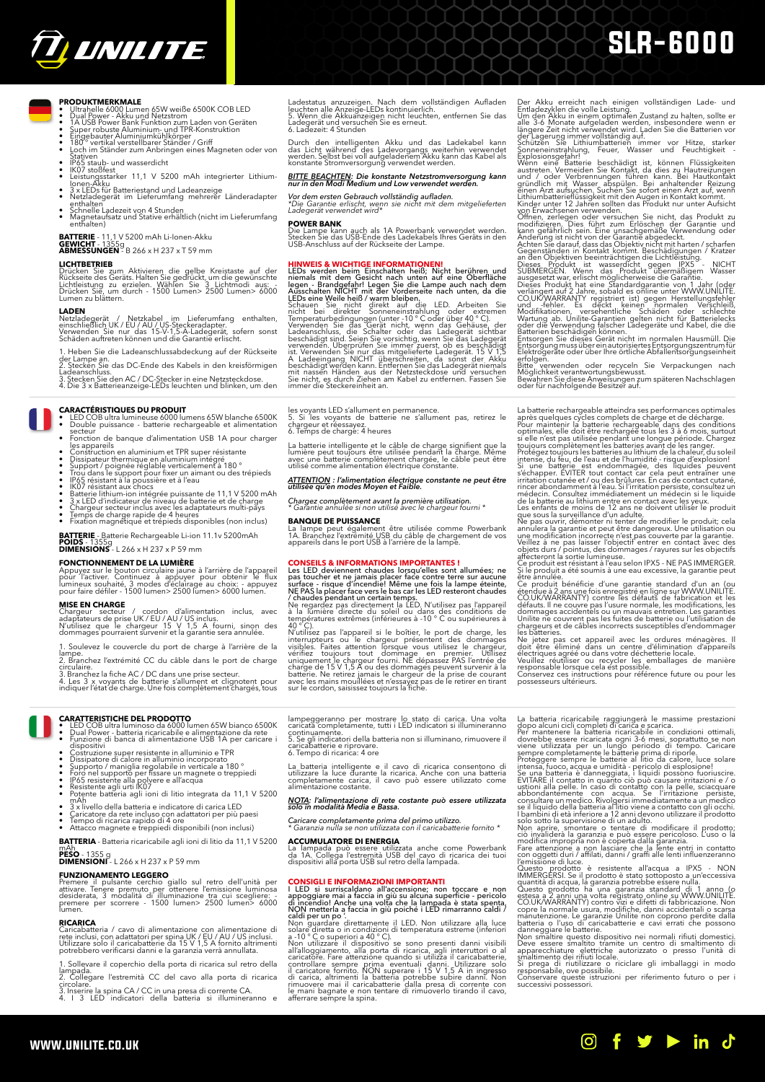

# SLR-6000

- **PRODUKTMERKMALE**<br>• Ultrahelle 6000 Lumen 65W weiße 6500K COB LED<br>• Dual Power Akku und Netzstrom<br>• Super robuste Aluminium- und TPR-Konstruktion<br>• Super robuste Aluminium- und TPR-Konstruktion<br>• Eingebauter Aluminium-kü
- 
- Stativen<br>• IP65 staub- und wasserdicht<br>• IK07 stoßfest<br>• Leistungsstarker 11,1 V 5200 mAh integrierter Lithium-
- 
- 
- Ionen-Akku<br>• 3 x LEDs für Batteriestand und Ladeanzeige<br>• Netzladegerät im Lieferumfang mehrerer Länderadapter
- 
- enthalten<br>• Schnelle Ladezeit von 4 Stunden<br>• Magnetaufsatz und Stative erhältlich (nicht im Lieferumfang<br>• enthalten)

**BATTERIE** - 11,1 V 5200 mAh Li-Ionen-Akku **GEWICHT** - 1355g **ABMESSUNGEN** - B 266 x H 237 x T 59 mm

**LICHTBETRIEB**<br>Drücken Sie zum Aktivieren die gelbe Kreistaste auf der<br>Rückseite des Geräts. Halten Sie gedrückt, um die gewünschte<br>Lichtleistung zu erzielen. Wählen Sie 3 Lichtmodi aus: -<br>Drücken Sie, um durch - 1500 Lume

**LADEN**<br>Netzladegerät / Netzkabel im Lieferumfang enthalten,<br>einschließlich UK/EU/AU/US-Steckeradapter.<br>Verwenden Sie nur das 15-V-1,5-A-Ladegerät, sofern sonst<br>Schäden auftreten können und die Garantie erlischt.

1. Heben Sie die Ladeanschlussabdeckung auf der Rückseite

der Lampe an. 2. Stecken Sie das DC-Ende des Kabels in den kreisförmigen

Ladeanschluss. 3. Stecken Sie den AC / DC-Stecker in eine Netzsteckdose. 4. Die 3 x Batterieanzeige-LEDs leuchten und blinken, um den

**CARACTÉRISTIQUES DU PRODUIT** • LED COB ultra lumineuse 6000 lumens 65W blanche 6500K • Double puissance - batterie rechargeable et alimentation

- secteur<br>• Fonction de banque d'alimentation USB 1A pour charger<br>• Gonstruction en aluminium et TPR super résistante<br>• Dissipateur thermique en aluminium intégré
- 
- 
- Dissipateur thermique en aluminium intégré<br>Support / poignée réglable verticalement à 180 °<br>Support / poignée réglable verticalement à 180 °<br>Irou dans le support pour fixer un aimant ou des trépieds<br>IROS résistant à la pou
- 
- 
- 

**BATTERIE** - Batterie Rechargeable Li-ion 11.1v 5200mAh **POIDS** - 1355g **DIMENSIONS** - L 266 x H 237 x P 59 mm

FONCTIONNEMENT DE LA LUMIERE<br>Appuyez sur le bouton circulaire jaune à l'arrière de l'appareil<br>pour l'activer. Continuez à appuyer pour obtenir le flux<br>lumineux souhaité, 3 modes d'eclairage au choix: - appuyez<br>pour faire d

**MISE EN CHARGE**<br>Chargeur secteur / cordon d'alimentation inclus, avec<br>adaptateurs de prise UK/EU/AU/US inclus.<br>N'utilisez que le chargeur 15 V 1,5 A fourni, sinon des<br>dommages pourraient survenir et la garantie sera annul

Soulevez le couvercle du port de charge à l'arrière de la

- lampe.<br>2. Branchez l'extrémité CC du câble dans le port de charge<br>circulaire.<br>3. Branchez la fiche AC / DC dans une prise secteur.<br>4. Les 3 x voyants de batterie s'allument et clignotent pour<br>indiquer l'état de charge. Une
- 
- 

# **CARATTERISTICHE DEL PRODOTTO**<br>• LED COB ultra luminoso da 6000 lumen 65W bianco 6500K<br>• Punzione di banca di alimentazione USB 1A per caricare i<br>• Funzione di banca di alimentazione USB 1A per caricare i

- 
- 
- 
- 
- dispositivi<br>
 Costruzione super resistente in alluminio e TPR<br>
 Dissipatore di calore in alluminio incorporato<br>
 Supporto / maniglia regolabile in verticale a 180<br>
 Foro nel supporto per fissare un magnete o treppiedi<br>
- 
- 
- mah 3 x livello della batteria e indicatore di carica LED<br>3 x livello della batteria e indicatore di carica LED<br>Caricatore da rete incluso con adattatori per più paesi<br>Tempo di ricarica rapido di 4 ore<br>• Attacco magnete
- 

**BATTERIA** - Batteria ricaricabile agli ioni di litio da 11,1 V 5200

mAh<br>**PESO** - 1355 g<br>**DIMENSIONI** - L 266 x H 237 x P 59 mm

**FUNZIONAMENTO LEGGERO**

Premere il pulsante cerchio giallo sul retro dell'unità per<br>attivare. Tenere premuto per ottenere l'emissione luminosa<br>desiderata, 3 modalità di illuminazione tra cui scegliere:<br>premere per scorrere - 1500 lumen> 2500 lume

### **RICARICA**

www.unilite.co.uk

Caricabatteria / cavo di alimentazione con alimentazione di<br>rete inclusi, con adattatori per spina UK / EU / AU / US inclusi.<br>Utilizzare solo il caricabatterie da 15 V 1,5 A fornito altrimenti<br>potrebbero verificarsi danni

1. Sollevare il coperchio della porta di ricarica sul retro della

lampada. 2. Collegare l'estremità CC del cavo alla porta di ricarica circolare. 3. Inserire la spina CA / CC in una presa di corrente CA. 4. I 3 LED indicatori della batteria si illumineranno e

Ladestatus anzuzeigen. Nach dem vollständigen Aufladen<br>leuchten alle Anzeige-LEDs kontinuierlich.<br>5. Wenn die Akkuanzeigen nicht leuchten, entfernen Sie das<br>Ladezeit: 4 Stunden<br>6. Ladezeit: 4 Stunden

Durch den intelligenten Akku und das Ladekabel kann<br>das Licht während des Ladevorgangs weiterhin verwendet<br>werden.Selbst bei voll aufgeladenem Akku kann das Kabel als<br>konstante Stromversorgung verwendet werden.

# *BITTE BEACHTEN: Die konstante Netzstromversorgung kann nur in den Modi Medium und Low verwendet werden.*

*Vor dem ersten Gebrauch vollständig aufladen. \*Die Garantie erlischt, wenn sie nicht mit dem mitgelieferten Ladegerät verwendet wird\**

**POWER BANK** Die Lampe kann auch als 1A Powerbank verwendet werden. Stecken Sie das USB-Ende des Ladekabels Ihres Geräts in den USB-Anschluss auf der Rückseite der Lampe.

**HINWEIS & WICHTIGE INFORMATIONENT**<br> **HINWEIS & WICHTIGE INFORMATIONENT**<br>
LEDS werden being Einschalten heiß; Nicht berühren und<br>
niemen Start dem Gesicht nach unten auf eine Oberfläche<br>
Ausschalten NICHT mit der Vordersei

les voyants LED s'allument en permanence. 5. Si les voyants de batterie ne s'allument pas, retirez le chargeur et réessayez. 6. Temps de charge: 4 heures

La batterie intelligente et le câble de charge signifient que la lumière peut toujours être utilisée pendant la charge. Même avec une batterie complètement chargée, le câble peut être utilisé comme alimentation électrique constante.

# *ATTENTION : l'alimentation électrique constante ne peut être utilisée qu'en modes Moyen et Faible.*

*Chargez complètement avant la première utilisation. \* Garantie annulée si non utilisé avec le chargeur fourni \**

**BANQUE DE PUISSANCE** La lampe peut également être utilisée comme Powerbank 1A. Branchez l'extrémité USB du câble de chargement de vos appareils dans le port USB à l'arrière de la lampe.

**CONSELLS & INFORMATIONS IMPORTANTES !**<br>Les LED deviennent chaudes lorsqu'elles sont allumées; ne<br>pas toucher et ne jamais placer face contre terre sur aucune<br>surface - risque d'incendiel Même une fois la lampe éteinte,<br>VE

températures extrêmes (inférieures à -10 ° C ou supérieures à<br>40 ° C).<br>N'utilisez pas l'appareil si le boîtier, le port de charge, les

N'utilisez pas l'appareil si le bôtier, le port de charge, les<br>interrupteurs ou le chargeur présentent des dommages<br>visibles. Faites attention forsque vous utilisez le chargeur,<br>vérifiez toujours tout dommage en premier. U

Der Akku erreicht nach einigen vollständigen Lade- und<br>
Den Akku ereicht nach einigen vollständigen Lade- und<br>
Um den Akku in einem optimalen Zustand zu halten, sollte er<br>
alle 3-6 Monate aufgeladen werden, insbesondere we

La batterie rechargeable atteindra ses performances optimales<br>après quelques cycles complets de charge et de décharge.<br>Pour maintenir la batterie rechargeable dans des conditions<br>optimales, elle doit être recharge tous les

Si une batterie est endommagée, des liquides peuvent<br>s'échapper. EVITER tout contact car cela peut entraîner une<br>irritation cutanée et / ou des brûlures. En cas de contact cutané,<br>irincer abondamment à l'eau. Si l'iritatio

être annulée.<br>Ce produit bénéficie d'une garantie standard d'un an (ou<br>c'endue à 2 ans une fois enregistré en ligne sur WWW.UNILITE.<br>COUK.WARRANITY) contre les défauts de fabrication et les<br>défauts. Il ne couvre pas l'usur

Ne jetez pas cet appareil avec les ordures ménagères. Il<br>doit être éliminé dans un centre d'élimination d'appareils<br>électriques agréé ou dans votre déchetterie locale.<br>Veuillez réutiliser ou recycler les emballages de mani

La batteria ricriariabile raggiungerà le massime prestazioni del mordi dei realistaria ricriaria ricriaria ricriaria ricristia in condizioni ottimali, doverbbe essere ricraricata ogni 3-6 mesi, soprattuto se non el anomeno

in

lampeggeranno per mostrare lo stato di carica. Una volta caricata completamente, tutti i LED indicatori si illumineranno

caricata completamente, tutti i LED indicatori si illumineranno continuamente. 5. Se gli indicatori della batteria non si illuminano, rimuovere il caricabatterie e riprovare. 6. Tempo di ricarica: 4 ore

La batteria intelligente e il cavo di ricarica consentono di utilizzare la luce durante la ricarica. Anche con una batteria completamente carica, il cavo può essere utilizzato come alimentazione costante.

*NOTA: l'alimentazione di rete costante può essere utilizzata solo in modalità Media e Bassa. Caricare completamente prima del primo utilizzo. \* Garanzia nulla se non utilizzata con il caricabatterie fornito \**

La lampada può essere utilizzata anche come Powerbank da 1A. Collega l'estremità USB del cavo di ricarica dei tuoi dispositivi alla porta USB sul retro della lampada.

**CONSIGLI E INFORMAZIONI IMPORTANTI**<br>I LED si surriscaldano all'accensione; non toccare e non<br>appoggiare mai a faccia in giù su alcuna superficie - pericolo<br>di incendio! Anche una volta che la lampada è stata spenta,<br>NON m

caldi per un po<sup>1</sup>.<br>Non guardare direttamente il LED. Non utilizzare alla luce<br>solare diretta o in condizioni di temperatura estreme (inferiori<br>a-10 °C o superiori a-40 °C).<br>Non utilizzare il dispositivo se sono presenti d

**ACCUMULATORE DI ENERGIA**